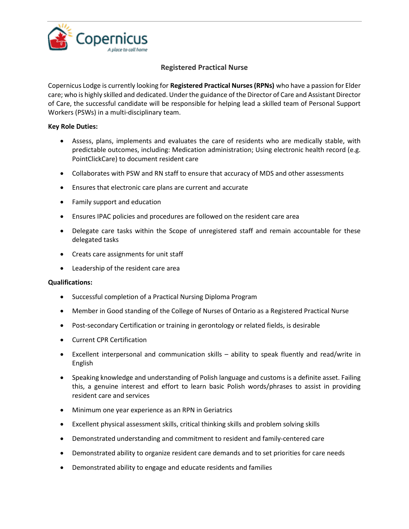

## **Registered Practical Nurse**

Copernicus Lodge is currently looking for **Registered Practical Nurses (RPNs)** who have a passion for Elder care; who is highly skilled and dedicated. Under the guidance of the Director of Care and Assistant Director of Care, the successful candidate will be responsible for helping lead a skilled team of Personal Support Workers (PSWs) in a multi-disciplinary team.

## **Key Role Duties:**

- Assess, plans, implements and evaluates the care of residents who are medically stable, with predictable outcomes, including: Medication administration; Using electronic health record (e.g. PointClickCare) to document resident care
- Collaborates with PSW and RN staff to ensure that accuracy of MDS and other assessments
- Ensures that electronic care plans are current and accurate
- Family support and education
- Ensures IPAC policies and procedures are followed on the resident care area
- Delegate care tasks within the Scope of unregistered staff and remain accountable for these delegated tasks
- Creats care assignments for unit staff
- Leadership of the resident care area

## **Qualifications:**

- Successful completion of a Practical Nursing Diploma Program
- Member in Good standing of the College of Nurses of Ontario as a Registered Practical Nurse
- Post-secondary Certification or training in gerontology or related fields, is desirable
- Current CPR Certification
- Excellent interpersonal and communication skills ability to speak fluently and read/write in English
- Speaking knowledge and understanding of Polish language and customs is a definite asset. Failing this, a genuine interest and effort to learn basic Polish words/phrases to assist in providing resident care and services
- Minimum one year experience as an RPN in Geriatrics
- Excellent physical assessment skills, critical thinking skills and problem solving skills
- Demonstrated understanding and commitment to resident and family-centered care
- Demonstrated ability to organize resident care demands and to set priorities for care needs
- Demonstrated ability to engage and educate residents and families